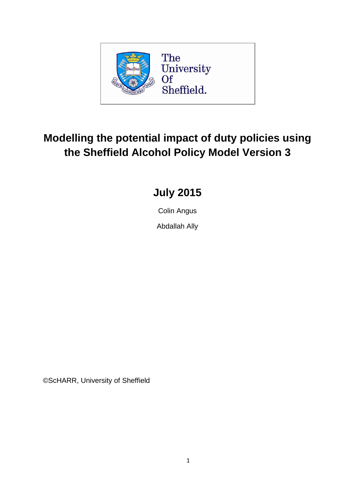

# **Modelling the potential impact of duty policies using the Sheffield Alcohol Policy Model Version 3**

# **July 2015**

Colin Angus

Abdallah Ally

©ScHARR, University of Sheffield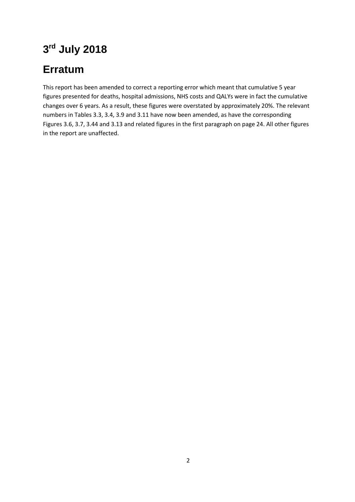# **3 rd July 2018**

# **Erratum**

This report has been amended to correct a reporting error which meant that cumulative 5 year figures presented for deaths, hospital admissions, NHS costs and QALYs were in fact the cumulative changes over 6 years. As a result, these figures were overstated by approximately 20%. The relevant numbers in Tables 3.3, 3.4, 3.9 and 3.11 have now been amended, as have the corresponding Figures 3.6, 3.7, 3.44 and 3.13 and related figures in the first paragraph on page 24. All other figures in the report are unaffected.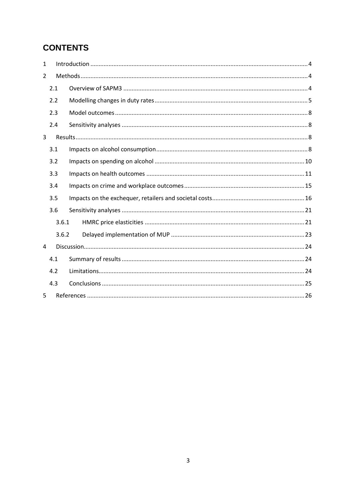## **CONTENTS**

| $\mathbf{1}$   |       |  |  |  |  |  |  |  |  |  |
|----------------|-------|--|--|--|--|--|--|--|--|--|
| $\overline{2}$ |       |  |  |  |  |  |  |  |  |  |
|                | 2.1   |  |  |  |  |  |  |  |  |  |
|                | 2.2   |  |  |  |  |  |  |  |  |  |
|                | 2.3   |  |  |  |  |  |  |  |  |  |
|                | 2.4   |  |  |  |  |  |  |  |  |  |
| 3              |       |  |  |  |  |  |  |  |  |  |
| 3.1            |       |  |  |  |  |  |  |  |  |  |
| 3.2            |       |  |  |  |  |  |  |  |  |  |
|                | 3.3   |  |  |  |  |  |  |  |  |  |
|                | 3.4   |  |  |  |  |  |  |  |  |  |
|                | 3.5   |  |  |  |  |  |  |  |  |  |
|                | 3.6   |  |  |  |  |  |  |  |  |  |
|                | 3.6.1 |  |  |  |  |  |  |  |  |  |
|                | 3.6.2 |  |  |  |  |  |  |  |  |  |
| 4              |       |  |  |  |  |  |  |  |  |  |
|                | 4.1   |  |  |  |  |  |  |  |  |  |
|                | 4.2   |  |  |  |  |  |  |  |  |  |
|                | 4.3   |  |  |  |  |  |  |  |  |  |
| 5              |       |  |  |  |  |  |  |  |  |  |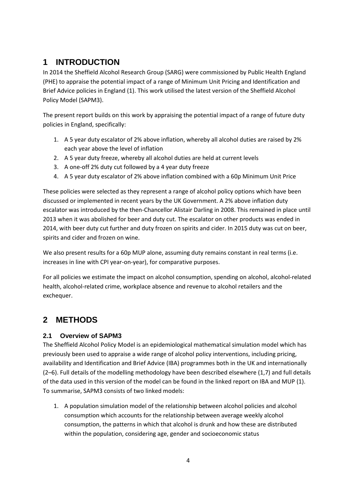# <span id="page-3-0"></span>**1 INTRODUCTION**

In 2014 the Sheffield Alcohol Research Group (SARG) were commissioned by Public Health England (PHE) to appraise the potential impact of a range of Minimum Unit Pricing and Identification and Brief Advice policies in England (1). This work utilised the latest version of the Sheffield Alcohol Policy Model (SAPM3).

The present report builds on this work by appraising the potential impact of a range of future duty policies in England, specifically:

- 1. A 5 year duty escalator of 2% above inflation, whereby all alcohol duties are raised by 2% each year above the level of inflation
- 2. A 5 year duty freeze, whereby all alcohol duties are held at current levels
- 3. A one-off 2% duty cut followed by a 4 year duty freeze
- 4. A 5 year duty escalator of 2% above inflation combined with a 60p Minimum Unit Price

These policies were selected as they represent a range of alcohol policy options which have been discussed or implemented in recent years by the UK Government. A 2% above inflation duty escalator was introduced by the then-Chancellor Alistair Darling in 2008. This remained in place until 2013 when it was abolished for beer and duty cut. The escalator on other products was ended in 2014, with beer duty cut further and duty frozen on spirits and cider. In 2015 duty was cut on beer, spirits and cider and frozen on wine.

We also present results for a 60p MUP alone, assuming duty remains constant in real terms (i.e. increases in line with CPI year-on-year), for comparative purposes.

For all policies we estimate the impact on alcohol consumption, spending on alcohol, alcohol-related health, alcohol-related crime, workplace absence and revenue to alcohol retailers and the exchequer.

# <span id="page-3-1"></span>**2 METHODS**

## <span id="page-3-2"></span>**2.1 Overview of SAPM3**

The Sheffield Alcohol Policy Model is an epidemiological mathematical simulation model which has previously been used to appraise a wide range of alcohol policy interventions, including pricing, availability and Identification and Brief Advice (IBA) programmes both in the UK and internationally (2–6). Full details of the modelling methodology have been described elsewhere (1,7) and full details of the data used in this version of the model can be found in the linked report on IBA and MUP (1). To summarise, SAPM3 consists of two linked models:

1. A population simulation model of the relationship between alcohol policies and alcohol consumption which accounts for the relationship between average weekly alcohol consumption, the patterns in which that alcohol is drunk and how these are distributed within the population, considering age, gender and socioeconomic status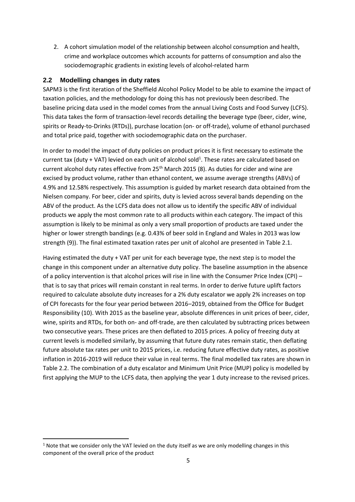2. A cohort simulation model of the relationship between alcohol consumption and health, crime and workplace outcomes which accounts for patterns of consumption and also the sociodemographic gradients in existing levels of alcohol-related harm

#### <span id="page-4-0"></span>**2.2 Modelling changes in duty rates**

SAPM3 is the first iteration of the Sheffield Alcohol Policy Model to be able to examine the impact of taxation policies, and the methodology for doing this has not previously been described. The baseline pricing data used in the model comes from the annual Living Costs and Food Survey (LCFS). This data takes the form of transaction-level records detailing the beverage type (beer, cider, wine, spirits or Ready-to-Drinks (RTDs)), purchase location (on- or off-trade), volume of ethanol purchased and total price paid, together with sociodemographic data on the purchaser.

In order to model the impact of duty policies on product prices it is first necessary to estimate the current tax (duty + VAT) levied on each unit of alcohol sold<sup>1</sup>. These rates are calculated based on current alcohol duty rates effective from 25<sup>th</sup> March 2015 (8). As duties for cider and wine are excised by product volume, rather than ethanol content, we assume average strengths (ABVs) of 4.9% and 12.58% respectively. This assumption is guided by market research data obtained from the Nielsen company. For beer, cider and spirits, duty is levied across several bands depending on the ABV of the product. As the LCFS data does not allow us to identify the specific ABV of individual products we apply the most common rate to all products within each category. The impact of this assumption is likely to be minimal as only a very small proportion of products are taxed under the higher or lower strength bandings (e.g. 0.43% of beer sold in England and Wales in 2013 was low strength (9)). The final estimated taxation rates per unit of alcohol are presented in [Table 2.1.](#page-5-0)

Having estimated the duty + VAT per unit for each beverage type, the next step is to model the change in this component under an alternative duty policy. The baseline assumption in the absence of a policy intervention is that alcohol prices will rise in line with the Consumer Price Index (CPI) – that is to say that prices will remain constant in real terms. In order to derive future uplift factors required to calculate absolute duty increases for a 2% duty escalator we apply 2% increases on top of CPI forecasts for the four year period between 2016–2019, obtained from the Office for Budget Responsibility (10). With 2015 as the baseline year, absolute differences in unit prices of beer, cider, wine, spirits and RTDs, for both on- and off-trade, are then calculated by subtracting prices between two consecutive years. These prices are then deflated to 2015 prices. A policy of freezing duty at current levels is modelled similarly, by assuming that future duty rates remain static, then deflating future absolute tax rates per unit to 2015 prices, i.e. reducing future effective duty rates, as positive inflation in 2016-2019 will reduce their value in real terms. The final modelled tax rates are shown in [Table 2.2.](#page-6-0) The combination of a duty escalator and Minimum Unit Price (MUP) policy is modelled by first applying the MUP to the LCFS data, then applying the year 1 duty increase to the revised prices.

**.** 

 $1$  Note that we consider only the VAT levied on the duty itself as we are only modelling changes in this component of the overall price of the product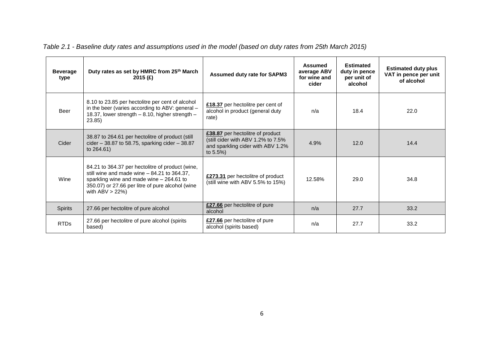<span id="page-5-0"></span>

| <b>Beverage</b><br>type | Duty rates as set by HMRC from 25th March<br>2015 $(E)$                                                                                                                                                                | <b>Assumed duty rate for SAPM3</b>                                                                                         | <b>Assumed</b><br>average ABV<br>for wine and<br>cider | <b>Estimated</b><br>duty in pence<br>per unit of<br>alcohol | <b>Estimated duty plus</b><br>VAT in pence per unit<br>of alcohol |
|-------------------------|------------------------------------------------------------------------------------------------------------------------------------------------------------------------------------------------------------------------|----------------------------------------------------------------------------------------------------------------------------|--------------------------------------------------------|-------------------------------------------------------------|-------------------------------------------------------------------|
| Beer                    | 8.10 to 23.85 per hectolitre per cent of alcohol<br>in the beer (varies according to ABV: general -<br>18.37, lower strength - 8.10, higher strength -<br>23.85)                                                       | £18.37 per hectolitre per cent of<br>alcohol in product (general duty<br>rate)                                             | n/a                                                    | 18.4                                                        | 22.0                                                              |
| Cider                   | 38.87 to 264.61 per hectolitre of product (still<br>cider $-38.87$ to 58.75, sparking cider $-38.87$<br>to 264.61)                                                                                                     | £38.87 per hectolitre of product<br>(still cider with ABV 1.2% to 7.5%<br>and sparkling cider with ABV 1.2%<br>to $5.5%$ ) | 4.9%                                                   | 12.0                                                        | 14.4                                                              |
| Wine                    | 84.21 to 364.37 per hectolitre of product (wine,<br>still wine and made wine $-84.21$ to 364.37,<br>sparkling wine and made wine $-264.61$ to<br>350.07) or 27.66 per litre of pure alcohol (wine<br>with $ABV > 22\%$ | £273.31 per hectolitre of product<br>(still wine with ABV 5.5% to 15%)                                                     | 12.58%                                                 | 29.0                                                        | 34.8                                                              |
| <b>Spirits</b>          | 27.66 per hectolitre of pure alcohol                                                                                                                                                                                   | £27.66 per hectolitre of pure<br>alcohol                                                                                   | n/a                                                    | 27.7                                                        | 33.2                                                              |
| <b>RTDs</b>             | 27.66 per hectolitre of pure alcohol (spirits<br>based)                                                                                                                                                                | £27.66 per hectolitre of pure<br>alcohol (spirits based)                                                                   | n/a                                                    | 27.7                                                        | 33.2                                                              |

*Table 2.1 - Baseline duty rates and assumptions used in the model (based on duty rates from 25th March 2015)*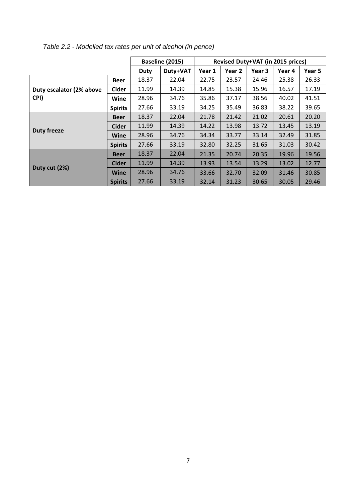|                          |                |             | Baseline (2015) | Revised Duty+VAT (in 2015 prices) |                   |        |        |        |  |
|--------------------------|----------------|-------------|-----------------|-----------------------------------|-------------------|--------|--------|--------|--|
|                          |                | <b>Duty</b> | Duty+VAT        | Year 1                            | Year <sub>2</sub> | Year 3 | Year 4 | Year 5 |  |
|                          | <b>Beer</b>    | 18.37       | 22.04           | 22.75                             | 23.57             | 24.46  | 25.38  | 26.33  |  |
| Duty escalator (2% above | <b>Cider</b>   | 11.99       | 14.39           | 14.85                             | 15.38             | 15.96  | 16.57  | 17.19  |  |
| CPI)                     | Wine           | 28.96       | 34.76           | 35.86                             | 37.17             | 38.56  | 40.02  | 41.51  |  |
|                          | <b>Spirits</b> | 27.66       | 33.19           | 34.25                             | 35.49             | 36.83  | 38.22  | 39.65  |  |
|                          | <b>Beer</b>    | 18.37       | 22.04           | 21.78                             | 21.42             | 21.02  | 20.61  | 20.20  |  |
| <b>Duty freeze</b>       | <b>Cider</b>   | 11.99       | 14.39           | 14.22                             | 13.98             | 13.72  | 13.45  | 13.19  |  |
|                          | Wine           | 28.96       | 34.76           | 34.34                             | 33.77             | 33.14  | 32.49  | 31.85  |  |
|                          | <b>Spirits</b> | 27.66       | 33.19           | 32.80                             | 32.25             | 31.65  | 31.03  | 30.42  |  |
|                          | <b>Beer</b>    | 18.37       | 22.04           | 21.35                             | 20.74             | 20.35  | 19.96  | 19.56  |  |
| Duty cut (2%)            | <b>Cider</b>   | 11.99       | 14.39           | 13.93                             | 13.54             | 13.29  | 13.02  | 12.77  |  |
|                          | <b>Wine</b>    | 28.96       | 34.76           | 33.66                             | 32.70             | 32.09  | 31.46  | 30.85  |  |
|                          | <b>Spirits</b> | 27.66       | 33.19           | 32.14                             | 31.23             | 30.65  | 30.05  | 29.46  |  |

<span id="page-6-0"></span>*Table 2.2 - Modelled tax rates per unit of alcohol (in pence)*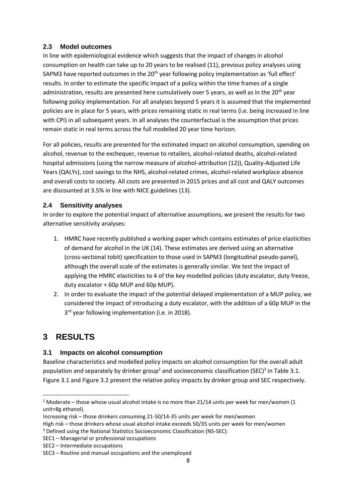### <span id="page-7-0"></span>**2.3 Model outcomes**

In line with epidemiological evidence which suggests that the impact of changes in alcohol consumption on health can take up to 20 years to be realised (11), previous policy analyses using SAPM3 have reported outcomes in the 20<sup>th</sup> year following policy implementation as 'full effect' results. In order to estimate the specific impact of a policy within the time frames of a single administration, results are presented here cumulatively over 5 years, as well as in the 20<sup>th</sup> year following policy implementation. For all analyses beyond 5 years it is assumed that the implemented policies are in place for 5 years, with prices remaining static in real terms (i.e. being increased in line with CPI) in all subsequent years. In all analyses the counterfactual is the assumption that prices remain static in real terms across the full modelled 20 year time horizon.

For all policies, results are presented for the estimated impact on alcohol consumption, spending on alcohol, revenue to the exchequer, revenue to retailers, alcohol-related deaths, alcohol-related hospital admissions (using the narrow measure of alcohol-attribution (12)), Quality-Adjusted Life Years (QALYs), cost savings to the NHS, alcohol-related crimes, alcohol-related workplace absence and overall costs to society. All costs are presented in 2015 prices and all cost and QALY outcomes are discounted at 3.5% in line with NICE guidelines (13).

### <span id="page-7-1"></span>**2.4 Sensitivity analyses**

In order to explore the potential impact of alternative assumptions, we present the results for two alternative sensitivity analyses:

- 1. HMRC have recently published a working paper which contains estimates of price elasticities of demand for alcohol in the UK (14). These estimates are derived using an alternative (cross-sectional tobit) specification to those used in SAPM3 (longitudinal pseudo-panel), although the overall scale of the estimates is generally similar. We test the impact of applying the HMRC elasticities to 4 of the key modelled policies (duty escalator, duty freeze, duty escalator + 60p MUP and 60p MUP).
- 2. In order to evaluate the impact of the potential delayed implementation of a MUP policy, we considered the impact of introducing a duty escalator, with the addition of a 60p MUP in the 3<sup>rd</sup> year following implementation (i.e. in 2018).

# <span id="page-7-2"></span>**3 RESULTS**

**.** 

## <span id="page-7-3"></span>**3.1 Impacts on alcohol consumption**

Baseline characteristics and modelled policy impacts on alcohol consumption for the overall adult population and separately by drinker group<sup>2</sup> and socioeconomic classification (SEC)<sup>3</sup> in [Table 3.1.](#page-8-0) [Figure 3.1](#page-8-1) and [Figure 3.2](#page-9-1) present the relative policy impacts by drinker group and SEC respectively.

<sup>&</sup>lt;sup>2</sup> Moderate – those whose usual alcohol intake is no more than 21/14 units per week for men/women (1 unit=8g ethanol).

Increasing risk – those drinkers consuming 21-50/14-35 units per week for men/women High risk – those drinkers whose usual alcohol intake exceeds 50/35 units per week for men/women

<sup>3</sup> Defined using the National Statistics Socioeconomic Classification (NS-SEC):

SEC1 – Managerial or professional occupations

SEC2 – Intermediate occupations

SEC3 – Routine and manual occupations and the unemployed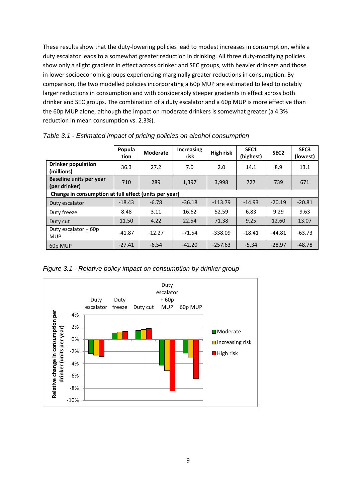These results show that the duty-lowering policies lead to modest increases in consumption, while a duty escalator leads to a somewhat greater reduction in drinking. All three duty-modifying policies show only a slight gradient in effect across drinker and SEC groups, with heavier drinkers and those in lower socioeconomic groups experiencing marginally greater reductions in consumption. By comparison, the two modelled policies incorporating a 60p MUP are estimated to lead to notably larger reductions in consumption and with considerably steeper gradients in effect across both drinker and SEC groups. The combination of a duty escalator and a 60p MUP is more effective than the 60p MUP alone, although the impact on moderate drinkers is somewhat greater (a 4.3% reduction in mean consumption vs. 2.3%).

|                                                       | Popula<br>tion | <b>Moderate</b> | <b>Increasing</b><br>risk | High risk | SEC1<br>(highest) | SEC <sub>2</sub> | SEC <sub>3</sub><br>(lowest) |  |  |  |
|-------------------------------------------------------|----------------|-----------------|---------------------------|-----------|-------------------|------------------|------------------------------|--|--|--|
| <b>Drinker population</b><br>(millions)               | 36.3           | 27.2            | 7.0                       | 2.0       | 14.1              | 8.9              | 13.1                         |  |  |  |
| <b>Baseline units per year</b><br>(per drinker)       | 710            | 289             | 1,397                     | 3,998     | 727               | 739              | 671                          |  |  |  |
| Change in consumption at full effect (units per year) |                |                 |                           |           |                   |                  |                              |  |  |  |
| Duty escalator                                        | $-18.43$       | $-6.78$         | $-36.18$                  | $-113.79$ | $-14.93$          | $-20.19$         | $-20.81$                     |  |  |  |
| Duty freeze                                           | 8.48           | 3.11            | 16.62                     | 52.59     | 6.83              | 9.29             | 9.63                         |  |  |  |
| Duty cut                                              | 11.50          | 4.22            | 22.54                     | 71.38     | 9.25              | 12.60            | 13.07                        |  |  |  |
| Duty escalator + 60p<br><b>MUP</b>                    | $-41.87$       | $-12.27$        | $-71.54$                  | $-338.09$ | $-18.41$          | $-44.81$         | $-63.73$                     |  |  |  |
| 60p MUP                                               | $-27.41$       | $-6.54$         | $-42.20$                  | $-257.63$ | $-5.34$           | $-28.97$         | $-48.78$                     |  |  |  |

<span id="page-8-0"></span>*Table 3.1 - Estimated impact of pricing policies on alcohol consumption*

<span id="page-8-1"></span>*Figure 3.1 - Relative policy impact on consumption by drinker group*

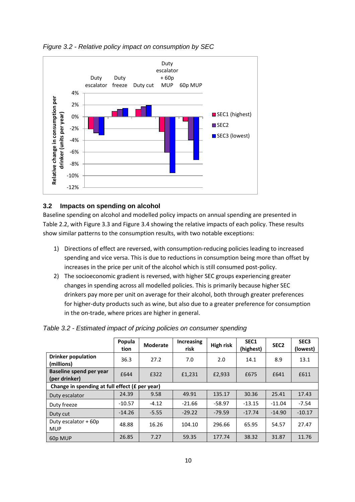

#### <span id="page-9-1"></span>*Figure 3.2 - Relative policy impact on consumption by SEC*

#### <span id="page-9-0"></span>**3.2 Impacts on spending on alcohol**

Baseline spending on alcohol and modelled policy impacts on annual spending are presented in [Table 2.2,](#page-6-0) wit[h Figure 3.3](#page-10-1) and [Figure 3.4](#page-10-2) showing the relative impacts of each policy. These results show similar patterns to the consumption results, with two notable exceptions:

- 1) Directions of effect are reversed, with consumption-reducing policies leading to increased spending and vice versa. This is due to reductions in consumption being more than offset by increases in the price per unit of the alcohol which is still consumed post-policy.
- 2) The socioeconomic gradient is reversed, with higher SEC groups experiencing greater changes in spending across all modelled policies. This is primarily because higher SEC drinkers pay more per unit on average for their alcohol, both through greater preferences for higher-duty products such as wine, but also due to a greater preference for consumption in the on-trade, where prices are higher in general.

|                                                | Popula<br>tion | <b>Moderate</b> | <b>Increasing</b><br>risk | <b>High risk</b> | SEC <sub>1</sub><br>(highest) | SEC <sub>2</sub> | SEC <sub>3</sub><br>(lowest) |  |  |  |
|------------------------------------------------|----------------|-----------------|---------------------------|------------------|-------------------------------|------------------|------------------------------|--|--|--|
| <b>Drinker population</b><br>(millions)        | 36.3           | 27.2            | 7.0                       | 2.0              | 14.1                          | 8.9              | 13.1                         |  |  |  |
| Baseline spend per year<br>(per drinker)       | £644           | £322            | £1,231                    | £2,933           | £675                          | £641             | £611                         |  |  |  |
| Change in spending at full effect (£ per year) |                |                 |                           |                  |                               |                  |                              |  |  |  |
| Duty escalator                                 | 24.39          | 9.58            | 49.91                     | 135.17           | 30.36                         | 25.41            | 17.43                        |  |  |  |
| Duty freeze                                    | $-10.57$       | $-4.12$         | $-21.66$                  | $-58.97$         | $-13.15$                      | $-11.04$         | $-7.54$                      |  |  |  |
| Duty cut                                       | $-14.26$       | $-5.55$         | $-29.22$                  | $-79.59$         | $-17.74$                      | $-14.90$         | $-10.17$                     |  |  |  |
| Duty escalator + 60p<br><b>MUP</b>             | 48.88          | 16.26           | 104.10                    | 296.66           | 65.95                         | 54.57            | 27.47                        |  |  |  |
| 60p MUP                                        | 26.85          | 7.27            | 59.35                     | 177.74           | 38.32                         | 31.87            | 11.76                        |  |  |  |

*Table 3.2 - Estimated impact of pricing policies on consumer spending*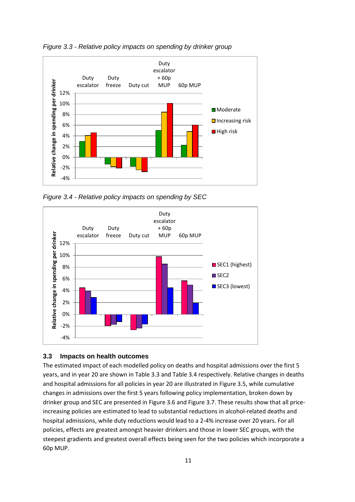

<span id="page-10-1"></span>*Figure 3.3 - Relative policy impacts on spending by drinker group*

<span id="page-10-2"></span>*Figure 3.4 - Relative policy impacts on spending by SEC*



#### <span id="page-10-0"></span>**3.3 Impacts on health outcomes**

The estimated impact of each modelled policy on deaths and hospital admissions over the first 5 years, and in year 20 are shown i[n Table 3.3](#page-11-0) an[d Table 3.4](#page-12-0) respectively. Relative changes in deaths and hospital admissions for all policies in year 20 are illustrated in [Figure 3.5,](#page-13-0) while cumulative changes in admissions over the first 5 years following policy implementation, broken down by drinker group and SEC are presented i[n Figure 3.6](#page-13-1) an[d Figure 3.7.](#page-14-1) These results show that all priceincreasing policies are estimated to lead to substantial reductions in alcohol-related deaths and hospital admissions, while duty reductions would lead to a 2-4% increase over 20 years. For all policies, effects are greatest amongst heavier drinkers and those in lower SEC groups, with the steepest gradients and greatest overall effects being seen for the two policies which incorporate a 60p MUP.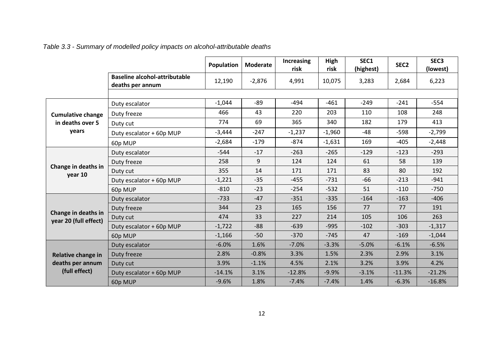*Table 3.3 - Summary of modelled policy impacts on alcohol-attributable deaths*

<span id="page-11-0"></span>

|                                              |                                                          | Population | Moderate | Increasing<br>risk | High<br>risk | SEC1<br>(highest) | SEC <sub>2</sub> | SEC <sub>3</sub><br>(lowest) |
|----------------------------------------------|----------------------------------------------------------|------------|----------|--------------------|--------------|-------------------|------------------|------------------------------|
|                                              | <b>Baseline alcohol-attributable</b><br>deaths per annum | 12,190     | $-2,876$ | 4,991              | 10,075       | 3,283             | 2,684            | 6,223                        |
|                                              |                                                          |            |          |                    |              |                   |                  |                              |
|                                              | Duty escalator                                           | $-1,044$   | -89      | $-494$             | $-461$       | $-249$            | $-241$           | $-554$                       |
| <b>Cumulative change</b>                     | Duty freeze                                              | 466        | 43       | 220                | 203          | 110               | 108              | 248                          |
| in deaths over 5                             | Duty cut                                                 | 774        | 69       | 365                | 340          | 182               | 179              | 413                          |
| years                                        | Duty escalator + 60p MUP                                 | $-3,444$   | $-247$   | $-1,237$           | $-1,960$     | $-48$             | $-598$           | $-2,799$                     |
|                                              | 60p MUP                                                  | $-2,684$   | $-179$   | $-874$             | $-1,631$     | 169               | $-405$           | $-2,448$                     |
|                                              | Duty escalator                                           | $-544$     | $-17$    | $-263$             | $-265$       | $-129$            | $-123$           | $-293$                       |
|                                              | Duty freeze                                              | 258        | 9        | 124                | 124          | 61                | 58               | 139                          |
| Change in deaths in<br>year 10               | Duty cut                                                 | 355        | 14       | 171                | 171          | 83                | 80               | 192                          |
|                                              | Duty escalator + 60p MUP                                 | $-1,221$   | $-35$    | $-455$             | $-731$       | $-66$             | $-213$           | $-941$                       |
|                                              | 60p MUP                                                  | $-810$     | $-23$    | $-254$             | $-532$       | 51                | $-110$           | $-750$                       |
|                                              | Duty escalator                                           | $-733$     | $-47$    | $-351$             | $-335$       | $-164$            | $-163$           | $-406$                       |
|                                              | Duty freeze                                              | 344        | 23       | 165                | 156          | 77                | 77               | 191                          |
| Change in deaths in<br>year 20 (full effect) | Duty cut                                                 | 474        | 33       | 227                | 214          | 105               | 106              | 263                          |
|                                              | Duty escalator + 60p MUP                                 | $-1,722$   | $-88$    | $-639$             | $-995$       | $-102$            | $-303$           | $-1,317$                     |
|                                              | 60p MUP                                                  | $-1,166$   | $-50$    | $-370$             | $-745$       | 47                | $-169$           | $-1,044$                     |
|                                              | Duty escalator                                           | $-6.0%$    | 1.6%     | $-7.0%$            | $-3.3%$      | $-5.0%$           | $-6.1%$          | $-6.5%$                      |
| Relative change in                           | Duty freeze                                              | 2.8%       | $-0.8%$  | 3.3%               | 1.5%         | 2.3%              | 2.9%             | 3.1%                         |
| deaths per annum                             | Duty cut                                                 | 3.9%       | $-1.1%$  | 4.5%               | 2.1%         | 3.2%              | 3.9%             | 4.2%                         |
| (full effect)                                | Duty escalator + 60p MUP                                 | $-14.1%$   | 3.1%     | $-12.8%$           | $-9.9%$      | $-3.1%$           | $-11.3%$         | $-21.2%$                     |
|                                              | 60p MUP                                                  | $-9.6%$    | 1.8%     | $-7.4%$            | $-7.4%$      | 1.4%              | $-6.3%$          | $-16.8%$                     |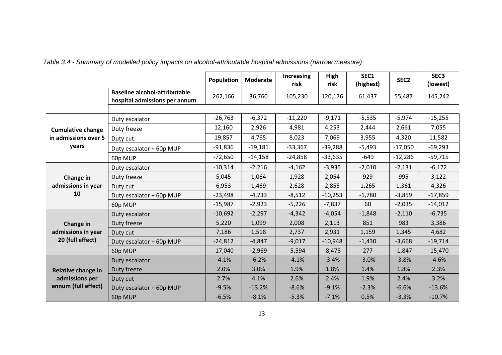<span id="page-12-0"></span>

|                          |                                                                       | Population | <b>Moderate</b> | Increasing<br>risk | High<br>risk | SEC1<br>(highest) | SEC <sub>2</sub> | SEC <sub>3</sub><br>(lowest) |
|--------------------------|-----------------------------------------------------------------------|------------|-----------------|--------------------|--------------|-------------------|------------------|------------------------------|
|                          | <b>Baseline alcohol-attributable</b><br>hospital admissions per annum | 262,166    | 36,760          | 105,230            | 120,176      | 61,437            | 55,487           | 145,242                      |
|                          |                                                                       |            |                 |                    |              |                   |                  |                              |
|                          | Duty escalator                                                        | $-26,763$  | $-6,372$        | $-11,220$          | $-9,171$     | $-5,535$          | $-5,974$         | $-15,255$                    |
| <b>Cumulative change</b> | Duty freeze                                                           | 12,160     | 2,926           | 4,981              | 4,253        | 2,444             | 2,661            | 7,055                        |
| in admissions over 5     | Duty cut                                                              | 19,857     | 4,765           | 8,023              | 7,069        | 3,955             | 4,320            | 11,582                       |
| years                    | Duty escalator + 60p MUP                                              | $-91,836$  | $-19,181$       | $-33,367$          | $-39,288$    | $-5,493$          | $-17,050$        | $-69,293$                    |
|                          | 60p MUP                                                               | $-72,650$  | $-14,158$       | $-24,858$          | $-33,635$    | $-649$            | $-12,286$        | $-59,715$                    |
|                          | Duty escalator                                                        | $-10,314$  | $-2,216$        | $-4,162$           | $-3,935$     | $-2,010$          | $-2,131$         | $-6,172$                     |
| Change in                | Duty freeze                                                           | 5,045      | 1,064           | 1,928              | 2,054        | 929               | 995              | 3,122                        |
| admissions in year       | Duty cut                                                              | 6,953      | 1,469           | 2,628              | 2,855        | 1,265             | 1,361            | 4,326                        |
| 10                       | Duty escalator + 60p MUP                                              | $-23,498$  | $-4,733$        | $-8,512$           | $-10,253$    | $-1,780$          | $-3,859$         | $-17,859$                    |
|                          | 60p MUP                                                               | $-15,987$  | $-2,923$        | $-5,226$           | $-7,837$     | 60                | $-2,035$         | $-14,012$                    |
|                          | Duty escalator                                                        | $-10,692$  | $-2,297$        | $-4,342$           | $-4,054$     | $-1,848$          | $-2,110$         | $-6,735$                     |
| Change in                | Duty freeze                                                           | 5,220      | 1,099           | 2,008              | 2,113        | 851               | 983              | 3,386                        |
| admissions in year       | Duty cut                                                              | 7,186      | 1,518           | 2,737              | 2,931        | 1,159             | 1,345            | 4,682                        |
| 20 (full effect)         | Duty escalator + 60p MUP                                              | $-24,812$  | $-4,847$        | $-9,017$           | $-10,948$    | $-1,430$          | $-3,668$         | $-19,714$                    |
|                          | 60p MUP                                                               | $-17,040$  | $-2,969$        | $-5,594$           | $-8,478$     | 277               | $-1,847$         | $-15,470$                    |
|                          | Duty escalator                                                        | $-4.1%$    | $-6.2%$         | $-4.1%$            | $-3.4%$      | $-3.0%$           | $-3.8%$          | $-4.6%$                      |
| Relative change in       | Duty freeze                                                           | 2.0%       | 3.0%            | 1.9%               | 1.8%         | 1.4%              | 1.8%             | 2.3%                         |
| admissions per           | Duty cut                                                              | 2.7%       | 4.1%            | 2.6%               | 2.4%         | 1.9%              | 2.4%             | 3.2%                         |
| annum (full effect)      | Duty escalator + 60p MUP                                              | $-9.5%$    | $-13.2%$        | $-8.6%$            | $-9.1%$      | $-2.3%$           | $-6.6%$          | $-13.6%$                     |
|                          | 60p MUP                                                               | $-6.5%$    | $-8.1%$         | $-5.3%$            | $-7.1%$      | 0.5%              | $-3.3%$          | $-10.7%$                     |

*Table 3.4 - Summary of modelled policy impacts on alcohol-attributable hospital admissions (narrow measure)*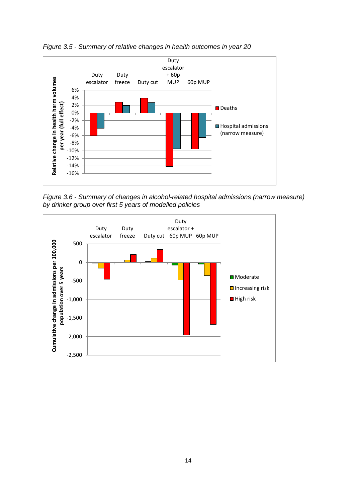

<span id="page-13-0"></span>*Figure 3.5 - Summary of relative changes in health outcomes in year 20*

<span id="page-13-1"></span>*Figure 3.6 - Summary of changes in alcohol-related hospital admissions (narrow measure) by drinker group over first 5 years of modelled policies*

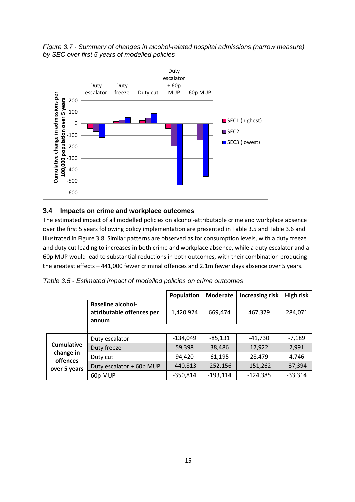<span id="page-14-1"></span>*Figure 3.7 - Summary of changes in alcohol-related hospital admissions (narrow measure) by SEC over first 5 years of modelled policies*



#### <span id="page-14-0"></span>**3.4 Impacts on crime and workplace outcomes**

The estimated impact of all modelled policies on alcohol-attributable crime and workplace absence over the first 5 years following policy implementation are presented i[n Table 3.5](#page-14-2) and [Table 3.6](#page-15-1) and illustrated i[n Figure 3.8.](#page-15-2) Similar patterns are observed as for consumption levels, with a duty freeze and duty cut leading to increases in both crime and workplace absence, while a duty escalator and a 60p MUP would lead to substantial reductions in both outcomes, with their combination producing the greatest effects – 441,000 fewer criminal offences and 2.1m fewer days absence over 5 years.

<span id="page-14-2"></span>

| Table 3.5 - Estimated impact of modelled policies on crime outcomes |
|---------------------------------------------------------------------|
|---------------------------------------------------------------------|

|                       |                                                                | Population | <b>Moderate</b> | <b>Increasing risk</b> | <b>High risk</b> |
|-----------------------|----------------------------------------------------------------|------------|-----------------|------------------------|------------------|
|                       | <b>Baseline alcohol-</b><br>attributable offences per<br>annum | 1,420,924  | 669,474         | 467,379                | 284,071          |
|                       |                                                                |            |                 |                        |                  |
|                       | Duty escalator                                                 | $-134,049$ | $-85,131$       | -41,730                | $-7,189$         |
| <b>Cumulative</b>     | Duty freeze                                                    | 59,398     | 38,486          | 17,922                 | 2,991            |
| change in<br>offences | Duty cut                                                       | 94,420     | 61,195          | 28,479                 | 4,746            |
| over 5 years          | Duty escalator + 60p MUP                                       | $-440,813$ | $-252,156$      | $-151,262$             | $-37,394$        |
|                       | 60p MUP                                                        | $-350,814$ | $-193,114$      | $-124,385$             | $-33,314$        |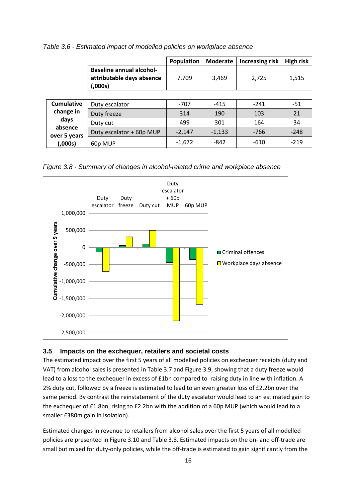|                         |                                                                         | <b>Population</b> | <b>Moderate</b> | <b>Increasing risk</b> | <b>High risk</b> |
|-------------------------|-------------------------------------------------------------------------|-------------------|-----------------|------------------------|------------------|
|                         | <b>Baseline annual alcohol-</b><br>attributable days absence<br>(,000s) | 7,709             | 3,469           | 2,725                  | 1,515            |
|                         |                                                                         |                   |                 |                        |                  |
| Cumulative              | Duty escalator                                                          | -707              | $-415$          | $-241$                 | $-51$            |
| change in               | Duty freeze                                                             | 314               | 190             | 103                    | 21               |
| days                    | Duty cut                                                                | 499               | 301             | 164                    | 34               |
| absence<br>over 5 years | Duty escalator + 60p MUP                                                | $-2,147$          | $-1,133$        | $-766$                 | $-248$           |
| (,000s)                 | 60p MUP                                                                 | $-1,672$          | -842            | $-610$                 | $-219$           |

<span id="page-15-1"></span>*Table 3.6 - Estimated impact of modelled policies on workplace absence*

<span id="page-15-2"></span>*Figure 3.8 - Summary of changes in alcohol-related crime and workplace absence*



#### <span id="page-15-0"></span>**3.5 Impacts on the exchequer, retailers and societal costs**

The estimated impact over the first 5 years of all modelled policies on exchequer receipts (duty and VAT) from alcohol sales is presented i[n Table 3.7](#page-17-0) and [Figure 3.9,](#page-19-0) showing that a duty freeze would lead to a loss to the exchequer in excess of £1bn compared to raising duty in line with inflation. A 2% duty cut, followed by a freeze is estimated to lead to an even greater loss of £2.2bn over the same period. By contrast the reinstatement of the duty escalator would lead to an estimated gain to the exchequer of £1.8bn, rising to £2.2bn with the addition of a 60p MUP (which would lead to a smaller £380m gain in isolation).

Estimated changes in revenue to retailers from alcohol sales over the first 5 years of all modelled policies are presented in [Figure 3.10](#page-20-2) an[d Table 3.8.](#page-18-0) Estimated impacts on the on- and off-trade are small but mixed for duty-only policies, while the off-trade is estimated to gain significantly from the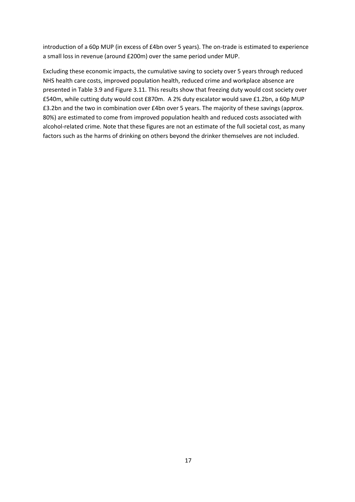introduction of a 60p MUP (in excess of £4bn over 5 years). The on-trade is estimated to experience a small loss in revenue (around £200m) over the same period under MUP.

Excluding these economic impacts, the cumulative saving to society over 5 years through reduced NHS health care costs, improved population health, reduced crime and workplace absence are presented in [Table 3.9](#page-19-1) an[d Figure 3.11.](#page-20-3) This results show that freezing duty would cost society over £540m, while cutting duty would cost £870m. A 2% duty escalator would save £1.2bn, a 60p MUP £3.2bn and the two in combination over £4bn over 5 years. The majority of these savings (approx. 80%) are estimated to come from improved population health and reduced costs associated with alcohol-related crime. Note that these figures are not an estimate of the full societal cost, as many factors such as the harms of drinking on others beyond the drinker themselves are not included.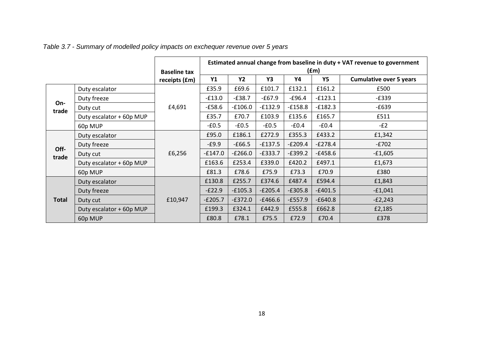<span id="page-17-0"></span>

|              |                          | <b>Baseline tax</b> | Estimated annual change from baseline in duty + VAT revenue to government<br>(fm) |           |           |           |           |                                |  |  |
|--------------|--------------------------|---------------------|-----------------------------------------------------------------------------------|-----------|-----------|-----------|-----------|--------------------------------|--|--|
|              |                          | receipts (£m)       | <b>Y1</b>                                                                         | <b>Y2</b> | Υ3        | Υ4        | Υ5        | <b>Cumulative over 5 years</b> |  |  |
|              | Duty escalator           |                     | £35.9                                                                             | £69.6     | £101.7    | £132.1    | £161.2    | £500                           |  |  |
|              | Duty freeze              |                     | $-£13.0$                                                                          | $-£38.7$  | $-£67.9$  | $-£96.4$  | $-£123.1$ | $-E339$                        |  |  |
| On-<br>trade | Duty cut                 | £4,691              | $-£58.6$                                                                          | $-£106.0$ | $-E132.9$ | $-£158.8$ | $-f182.3$ | $-£639$                        |  |  |
|              | Duty escalator + 60p MUP |                     | £35.7                                                                             | £70.7     | £103.9    | £135.6    | £165.7    | £511                           |  |  |
|              | 60p MUP                  |                     | $-£0.5$                                                                           | $-£0.5$   | $-£0.5$   | -£0.4     | $-£0.4$   | $-E2$                          |  |  |
|              | Duty escalator           |                     | £95.0                                                                             | £186.1    | £272.9    | £355.3    | £433.2    | £1,342                         |  |  |
| Off-         | Duty freeze              |                     | $-£9.9$                                                                           | $-£66.5$  | $-£137.5$ | $-E209.4$ | $-E278.4$ | $-E702$                        |  |  |
| trade        | Duty cut                 | £6,256              | $-£147.0$                                                                         | $-E266.0$ | $-E333.7$ | $-E399.2$ | $-£458.6$ | $-£1,605$                      |  |  |
|              | Duty escalator + 60p MUP |                     | £163.6                                                                            | £253.4    | £339.0    | £420.2    | £497.1    | £1,673                         |  |  |
|              | 60p MUP                  |                     | £81.3                                                                             | £78.6     | £75.9     | £73.3     | £70.9     | £380                           |  |  |
|              | Duty escalator           |                     | £130.8                                                                            | £255.7    | £374.6    | £487.4    | £594.4    | £1,843                         |  |  |
|              | Duty freeze              |                     | $-E22.9$                                                                          | $-£105.3$ | $-E205.4$ | $-£305.8$ | $-£401.5$ | $-£1,041$                      |  |  |
| <b>Total</b> | Duty cut                 | £10,947             | $-E205.7$                                                                         | $-E372.0$ | $-£466.6$ | $-£557.9$ | $-£640.8$ | $-E2,243$                      |  |  |
|              | Duty escalator + 60p MUP |                     | £199.3                                                                            | £324.1    | £442.9    | £555.8    | £662.8    | £2,185                         |  |  |
|              | 60p MUP                  |                     | £80.8                                                                             | £78.1     | £75.5     | £72.9     | £70.4     | £378                           |  |  |

*Table 3.7 - Summary of modelled policy impacts on exchequer revenue over 5 years*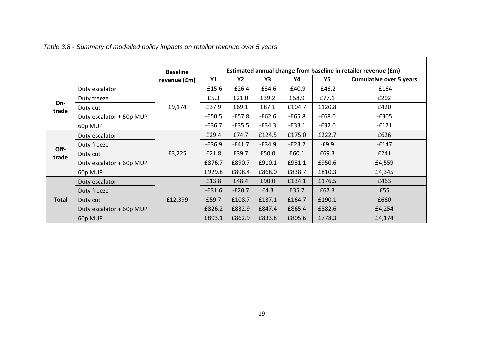# *Table 3.8 - Summary of modelled policy impacts on retailer revenue over 5 years*

<span id="page-18-0"></span>

|              |                          | <b>Baseline</b> |           |          |          |          |           | Estimated annual change from baseline in retailer revenue (£m) |
|--------------|--------------------------|-----------------|-----------|----------|----------|----------|-----------|----------------------------------------------------------------|
|              |                          | revenue (£m)    | <b>Y1</b> | Y2       | Y3       | Υ4       | <b>Y5</b> | <b>Cumulative over 5 years</b>                                 |
|              | Duty escalator           |                 | $-£15.6$  | $-£26.4$ | $-£34.6$ | $-£40.9$ | $-£46.2$  | $-£164$                                                        |
|              | Duty freeze              | £9,174          | £5.3      | £21.0    | £39.2    | £58.9    | £77.1     | £202                                                           |
| On-<br>trade | Duty cut                 |                 | £37.9     | £69.1    | £87.1    | £104.7   | £120.8    | £420                                                           |
|              | Duty escalator + 60p MUP |                 | $-£50.5$  | $-£57.8$ | $-£62.6$ | $-£65.8$ | $-£68.0$  | $-E305$                                                        |
|              | 60p MUP                  |                 | $-£36.7$  | $-£35.5$ | $-E34.3$ | $-£33.1$ | $-£32.0$  | $-E171$                                                        |
|              | Duty escalator           | £3,225          | £29.4     | £74.7    | £124.5   | £175.0   | £222.7    | £626                                                           |
| Off-         | Duty freeze              |                 | $-£36.9$  | $-£41.7$ | $-£34.9$ | $-E23.2$ | $-£9.9$   | -£147                                                          |
| trade        | Duty cut                 |                 | £21.8     | £39.7    | £50.0    | £60.1    | £69.3     | £241                                                           |
|              | Duty escalator + 60p MUP |                 | £876.7    | £890.7   | £910.1   | £931.1   | £950.6    | £4,559                                                         |
|              | 60p MUP                  |                 | £929.8    | £898.4   | £868.0   | £838.7   | £810.3    | £4,345                                                         |
|              | Duty escalator           |                 | £13.8     | £48.4    | £90.0    | £134.1   | £176.5    | £463                                                           |
|              | Duty freeze              |                 | $-£31.6$  | $-E20.7$ | £4.3     | £35.7    | £67.3     | £55                                                            |
| <b>Total</b> | Duty cut                 | £12,399         | £59.7     | £108.7   | £137.1   | £164.7   | £190.1    | £660                                                           |
|              | Duty escalator + 60p MUP |                 | £826.2    | £832.9   | £847.4   | £865.4   | £882.6    | £4,254                                                         |
|              | 60p MUP                  |                 | £893.1    | £862.9   | £833.8   | £805.6   | £778.3    | £4,174                                                         |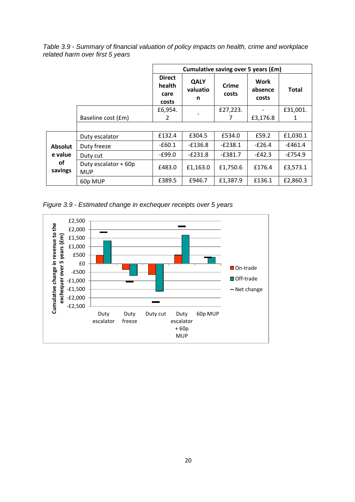<span id="page-19-1"></span>*Table 3.9 - Summary of financial valuation of policy impacts on health, crime and workplace related harm over first 5 years*

|                                            |                                    | Cumulative saving over 5 years (£m)      |                              |                |                          |              |
|--------------------------------------------|------------------------------------|------------------------------------------|------------------------------|----------------|--------------------------|--------------|
|                                            |                                    | <b>Direct</b><br>health<br>care<br>costs | <b>QALY</b><br>valuatio<br>n | Crime<br>costs | Work<br>absence<br>costs | <b>Total</b> |
|                                            |                                    | £6,954.                                  |                              | £27,223.       |                          | £31,001.     |
|                                            | Baseline cost (£m)                 | 2                                        |                              | 7              | £3,176.8                 | 1            |
|                                            |                                    |                                          |                              |                |                          |              |
|                                            | Duty escalator                     | £132.4                                   | £304.5                       | £534.0         | £59.2                    | £1,030.1     |
| <b>Absolut</b><br>e value<br>οf<br>savings | Duty freeze                        | $-660.1$                                 | $-£136.8$                    | $-E238.1$      | $-E26.4$                 | $-£461.4$    |
|                                            | Duty cut                           | -£99.0                                   | $-E231.8$                    | $-E381.7$      | $-E42.3$                 | -£754.9      |
|                                            | Duty escalator + 60p<br><b>MUP</b> | £483.0                                   | £1,163.0                     | £1,750.6       | £176.4                   | £3,573.1     |
|                                            | 60p MUP                            | £389.5                                   | £946.7                       | £1,387.9       | £136.1                   | £2,860.3     |

<span id="page-19-0"></span>*Figure 3.9 - Estimated change in exchequer receipts over 5 years*

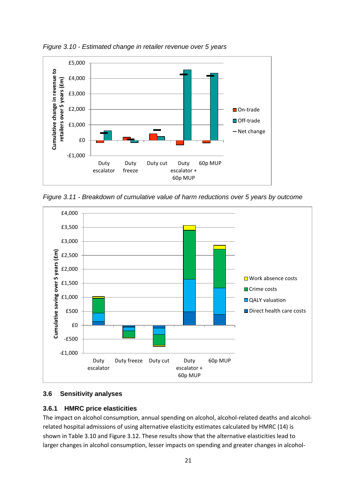

<span id="page-20-2"></span>*Figure 3.10 - Estimated change in retailer revenue over 5 years*

<span id="page-20-3"></span>*Figure 3.11 - Breakdown of cumulative value of harm reductions over 5 years by outcome*



#### <span id="page-20-0"></span>**3.6 Sensitivity analyses**

#### <span id="page-20-1"></span>**3.6.1 HMRC price elasticities**

The impact on alcohol consumption, annual spending on alcohol, alcohol-related deaths and alcoholrelated hospital admissions of using alternative elasticity estimates calculated by HMRC (14) is shown in [Table 3.10](#page-21-0) and [Figure 3.12.](#page-21-1) These results show that the alternative elasticities lead to larger changes in alcohol consumption, lesser impacts on spending and greater changes in alcohol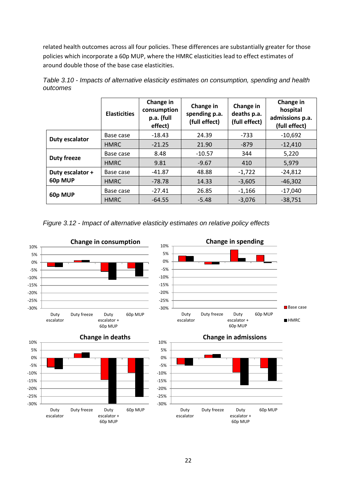related health outcomes across all four policies. These differences are substantially greater for those policies which incorporate a 60p MUP, where the HMRC elasticities lead to effect estimates of around double those of the base case elasticities.

|                    | <b>Elasticities</b> | Change in<br>consumption<br>p.a. (full<br>effect) | Change in<br>spending p.a.<br>(full effect) | Change in<br>deaths p.a.<br>(full effect) | Change in<br>hospital<br>admissions p.a.<br>(full effect) |
|--------------------|---------------------|---------------------------------------------------|---------------------------------------------|-------------------------------------------|-----------------------------------------------------------|
| Duty escalator     | Base case           | $-18.43$                                          | 24.39                                       | $-733$                                    | $-10,692$                                                 |
|                    | <b>HMRC</b>         | $-21.25$                                          | 21.90                                       | $-879$                                    | $-12,410$                                                 |
| <b>Duty freeze</b> | Base case           | 8.48                                              | $-10.57$                                    | 344                                       | 5,220                                                     |
|                    | <b>HMRC</b>         | 9.81                                              | $-9.67$                                     | 410                                       | 5,979                                                     |
| Duty escalator +   | Base case           | $-41.87$                                          | 48.88                                       | $-1,722$                                  | $-24,812$                                                 |
| 60p MUP            | <b>HMRC</b>         | -78.78                                            | 14.33                                       | $-3,605$                                  | $-46.302$                                                 |
| 60p MUP            | Base case           | $-27.41$                                          | 26.85                                       | $-1,166$                                  | $-17,040$                                                 |
|                    | <b>HMRC</b>         | $-64.55$                                          | $-5.48$                                     | $-3,076$                                  | $-38,751$                                                 |

<span id="page-21-0"></span>*Table 3.10 - Impacts of alternative elasticity estimates on consumption, spending and health outcomes*

<span id="page-21-1"></span>*Figure 3.12 - Impact of alternative elasticity estimates on relative policy effects*

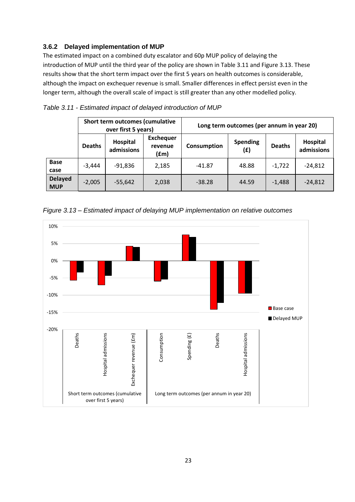### <span id="page-22-0"></span>**3.6.2 Delayed implementation of MUP**

The estimated impact on a combined duty escalator and 60p MUP policy of delaying the introduction of MUP until the third year of the policy are shown i[n Table 3.11](#page-22-1) and [Figure 3.13.](#page-22-2) These results show that the short term impact over the first 5 years on health outcomes is considerable, although the impact on exchequer revenue is small. Smaller differences in effect persist even in the longer term, although the overall scale of impact is still greater than any other modelled policy.

|                              | Short term outcomes (cumulative<br>over first 5 years) |                        |                                              | Long term outcomes (per annum in year 20) |                        |               |                        |
|------------------------------|--------------------------------------------------------|------------------------|----------------------------------------------|-------------------------------------------|------------------------|---------------|------------------------|
|                              | <b>Deaths</b>                                          | Hospital<br>admissions | <b>Exchequer</b><br>revenue<br>$(\text{fm})$ | Consumption                               | <b>Spending</b><br>(E) | <b>Deaths</b> | Hospital<br>admissions |
| <b>Base</b><br>case          | $-3,444$                                               | $-91,836$              | 2,185                                        | $-41.87$                                  | 48.88                  | $-1,722$      | $-24,812$              |
| <b>Delayed</b><br><b>MUP</b> | $-2.005$                                               | $-55,642$              | 2,038                                        | $-38.28$                                  | 44.59                  | $-1,488$      | $-24,812$              |

#### <span id="page-22-1"></span>*Table 3.11 - Estimated impact of delayed introduction of MUP*

<span id="page-22-2"></span>

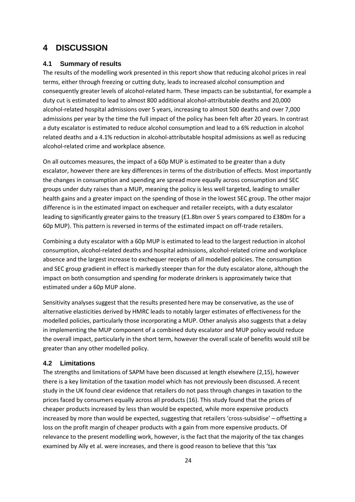## <span id="page-23-0"></span>**4 DISCUSSION**

#### <span id="page-23-1"></span>**4.1 Summary of results**

The results of the modelling work presented in this report show that reducing alcohol prices in real terms, either through freezing or cutting duty, leads to increased alcohol consumption and consequently greater levels of alcohol-related harm. These impacts can be substantial, for example a duty cut is estimated to lead to almost 800 additional alcohol-attributable deaths and 20,000 alcohol-related hospital admissions over 5 years, increasing to almost 500 deaths and over 7,000 admissions per year by the time the full impact of the policy has been felt after 20 years. In contrast a duty escalator is estimated to reduce alcohol consumption and lead to a 6% reduction in alcohol related deaths and a 4.1% reduction in alcohol-attributable hospital admissions as well as reducing alcohol-related crime and workplace absence.

On all outcomes measures, the impact of a 60p MUP is estimated to be greater than a duty escalator, however there are key differences in terms of the distribution of effects. Most importantly the changes in consumption and spending are spread more equally across consumption and SEC groups under duty raises than a MUP, meaning the policy is less well targeted, leading to smaller health gains and a greater impact on the spending of those in the lowest SEC group. The other major difference is in the estimated impact on exchequer and retailer receipts, with a duty escalator leading to significantly greater gains to the treasury (£1.8bn over 5 years compared to £380m for a 60p MUP). This pattern is reversed in terms of the estimated impact on off-trade retailers.

Combining a duty escalator with a 60p MUP is estimated to lead to the largest reduction in alcohol consumption, alcohol-related deaths and hospital admissions, alcohol-related crime and workplace absence and the largest increase to exchequer receipts of all modelled policies. The consumption and SEC group gradient in effect is markedly steeper than for the duty escalator alone, although the impact on both consumption and spending for moderate drinkers is approximately twice that estimated under a 60p MUP alone.

Sensitivity analyses suggest that the results presented here may be conservative, as the use of alternative elasticities derived by HMRC leads to notably larger estimates of effectiveness for the modelled policies, particularly those incorporating a MUP. Other analysis also suggests that a delay in implementing the MUP component of a combined duty escalator and MUP policy would reduce the overall impact, particularly in the short term, however the overall scale of benefits would still be greater than any other modelled policy.

#### <span id="page-23-2"></span>**4.2 Limitations**

The strengths and limitations of SAPM have been discussed at length elsewhere (2,15), however there is a key limitation of the taxation model which has not previously been discussed. A recent study in the UK found clear evidence that retailers do not pass through changes in taxation to the prices faced by consumers equally across all products (16). This study found that the prices of cheaper products increased by less than would be expected, while more expensive products increased by more than would be expected, suggesting that retailers 'cross-subsidise' – offsetting a loss on the profit margin of cheaper products with a gain from more expensive products. Of relevance to the present modelling work, however, is the fact that the majority of the tax changes examined by Ally et al. were increases, and there is good reason to believe that this 'tax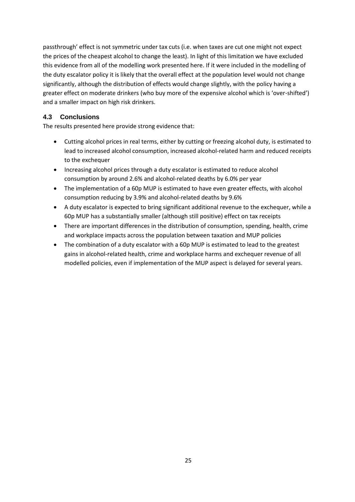passthrough' effect is not symmetric under tax cuts (i.e. when taxes are cut one might not expect the prices of the cheapest alcohol to change the least). In light of this limitation we have excluded this evidence from all of the modelling work presented here. If it were included in the modelling of the duty escalator policy it is likely that the overall effect at the population level would not change significantly, although the distribution of effects would change slightly, with the policy having a greater effect on moderate drinkers (who buy more of the expensive alcohol which is 'over-shifted') and a smaller impact on high risk drinkers.

### <span id="page-24-0"></span>**4.3 Conclusions**

The results presented here provide strong evidence that:

- Cutting alcohol prices in real terms, either by cutting or freezing alcohol duty, is estimated to lead to increased alcohol consumption, increased alcohol-related harm and reduced receipts to the exchequer
- Increasing alcohol prices through a duty escalator is estimated to reduce alcohol consumption by around 2.6% and alcohol-related deaths by 6.0% per year
- The implementation of a 60p MUP is estimated to have even greater effects, with alcohol consumption reducing by 3.9% and alcohol-related deaths by 9.6%
- A duty escalator is expected to bring significant additional revenue to the exchequer, while a 60p MUP has a substantially smaller (although still positive) effect on tax receipts
- There are important differences in the distribution of consumption, spending, health, crime and workplace impacts across the population between taxation and MUP policies
- The combination of a duty escalator with a 60p MUP is estimated to lead to the greatest gains in alcohol-related health, crime and workplace harms and exchequer revenue of all modelled policies, even if implementation of the MUP aspect is delayed for several years.